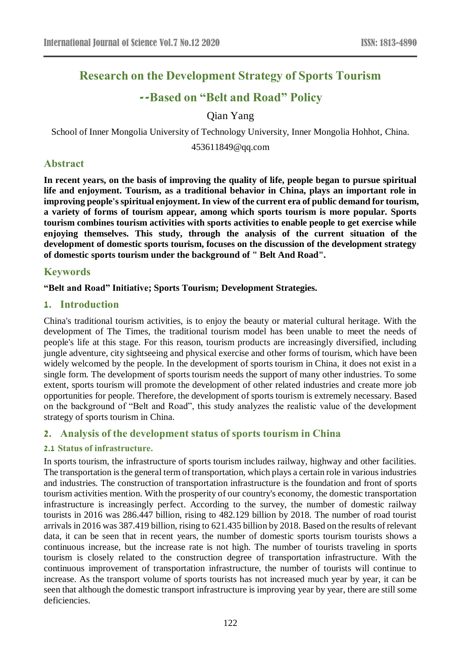# **Research on the Development Strategy of Sports Tourism**

## **--Based on "Belt and Road" Policy**

Qian Yang

School of Inner Mongolia University of Technology University, Inner Mongolia Hohhot, China.

453611849@qq.com

## **Abstract**

**In recent years, on the basis of improving the quality of life, people began to pursue spiritual life and enjoyment. Tourism, as a traditional behavior in China, plays an important role in improving people's spiritual enjoyment. In view of the current era of public demand for tourism, a variety of forms of tourism appear, among which sports tourism is more popular. Sports tourism combines tourism activities with sports activities to enable people to get exercise while enjoying themselves. This study, through the analysis of the current situation of the development of domestic sports tourism, focuses on the discussion of the development strategy of domestic sports tourism under the background of " Belt And Road".**

#### **Keywords**

#### **"Belt and Road" Initiative; Sports Tourism; Development Strategies.**

#### **1. Introduction**

China's traditional tourism activities, is to enjoy the beauty or material cultural heritage. With the development of The Times, the traditional tourism model has been unable to meet the needs of people's life at this stage. For this reason, tourism products are increasingly diversified, including jungle adventure, city sightseeing and physical exercise and other forms of tourism, which have been widely welcomed by the people. In the development of sports tourism in China, it does not exist in a single form. The development of sports tourism needs the support of many other industries. To some extent, sports tourism will promote the development of other related industries and create more job opportunities for people. Therefore, the development of sports tourism is extremely necessary. Based on the background of "Belt and Road", this study analyzes the realistic value of the development strategy of sports tourism in China.

## **2. Analysis of the development status of sports tourism in China**

#### **2.1 Status of infrastructure.**

In sports tourism, the infrastructure of sports tourism includes railway, highway and other facilities. The transportation is the general term of transportation, which plays a certain role in various industries and industries. The construction of transportation infrastructure is the foundation and front of sports tourism activities mention. With the prosperity of our country's economy, the domestic transportation infrastructure is increasingly perfect. According to the survey, the number of domestic railway tourists in 2016 was 286.447 billion, rising to 482.129 billion by 2018. The number of road tourist arrivals in 2016 was 387.419 billion, rising to 621.435 billion by 2018. Based on the results of relevant data, it can be seen that in recent years, the number of domestic sports tourism tourists shows a continuous increase, but the increase rate is not high. The number of tourists traveling in sports tourism is closely related to the construction degree of transportation infrastructure. With the continuous improvement of transportation infrastructure, the number of tourists will continue to increase. As the transport volume of sports tourists has not increased much year by year, it can be seen that although the domestic transport infrastructure is improving year by year, there are still some deficiencies.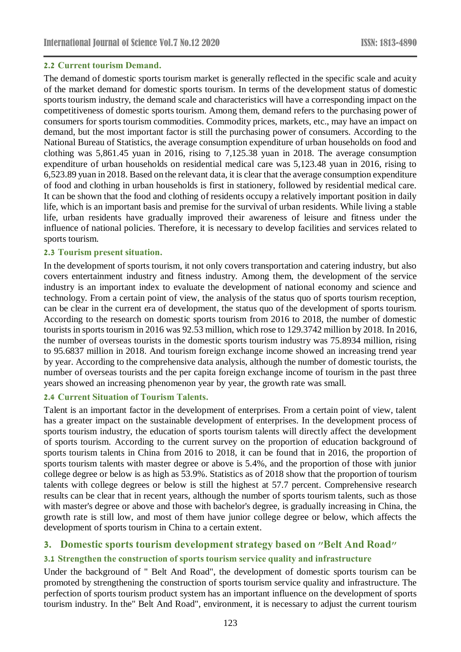#### **2.2 Current tourism Demand.**

The demand of domestic sports tourism market is generally reflected in the specific scale and acuity of the market demand for domestic sports tourism. In terms of the development status of domestic sports tourism industry, the demand scale and characteristics will have a corresponding impact on the competitiveness of domestic sports tourism. Among them, demand refers to the purchasing power of consumers for sports tourism commodities. Commodity prices, markets, etc., may have an impact on demand, but the most important factor is still the purchasing power of consumers. According to the National Bureau of Statistics, the average consumption expenditure of urban households on food and clothing was 5,861.45 yuan in 2016, rising to 7,125.38 yuan in 2018. The average consumption expenditure of urban households on residential medical care was 5,123.48 yuan in 2016, rising to 6,523.89 yuan in 2018. Based on the relevant data, it is clear that the average consumption expenditure of food and clothing in urban households is first in stationery, followed by residential medical care. It can be shown that the food and clothing of residents occupy a relatively important position in daily life, which is an important basis and premise for the survival of urban residents. While living a stable life, urban residents have gradually improved their awareness of leisure and fitness under the influence of national policies. Therefore, it is necessary to develop facilities and services related to sports tourism.

#### **2.3 Tourism present situation.**

In the development of sports tourism, it not only covers transportation and catering industry, but also covers entertainment industry and fitness industry. Among them, the development of the service industry is an important index to evaluate the development of national economy and science and technology. From a certain point of view, the analysis of the status quo of sports tourism reception, can be clear in the current era of development, the status quo of the development of sports tourism. According to the research on domestic sports tourism from 2016 to 2018, the number of domestic tourists in sports tourism in 2016 was 92.53 million, which rose to 129.3742 million by 2018. In 2016, the number of overseas tourists in the domestic sports tourism industry was 75.8934 million, rising to 95.6837 million in 2018. And tourism foreign exchange income showed an increasing trend year by year. According to the comprehensive data analysis, although the number of domestic tourists, the number of overseas tourists and the per capita foreign exchange income of tourism in the past three years showed an increasing phenomenon year by year, the growth rate was small.

#### **2.4 Current Situation of Tourism Talents.**

Talent is an important factor in the development of enterprises. From a certain point of view, talent has a greater impact on the sustainable development of enterprises. In the development process of sports tourism industry, the education of sports tourism talents will directly affect the development of sports tourism. According to the current survey on the proportion of education background of sports tourism talents in China from 2016 to 2018, it can be found that in 2016, the proportion of sports tourism talents with master degree or above is 5.4%, and the proportion of those with junior college degree or below is as high as 53.9%. Statistics as of 2018 show that the proportion of tourism talents with college degrees or below is still the highest at 57.7 percent. Comprehensive research results can be clear that in recent years, although the number of sports tourism talents, such as those with master's degree or above and those with bachelor's degree, is gradually increasing in China, the growth rate is still low, and most of them have junior college degree or below, which affects the development of sports tourism in China to a certain extent.

## **3. Domestic sports tourism development strategy based on "Belt And Road"**

## **3.1 Strengthen the construction of sports tourism service quality and infrastructure**

Under the background of " Belt And Road", the development of domestic sports tourism can be promoted by strengthening the construction of sports tourism service quality and infrastructure. The perfection of sports tourism product system has an important influence on the development of sports tourism industry. In the" Belt And Road", environment, it is necessary to adjust the current tourism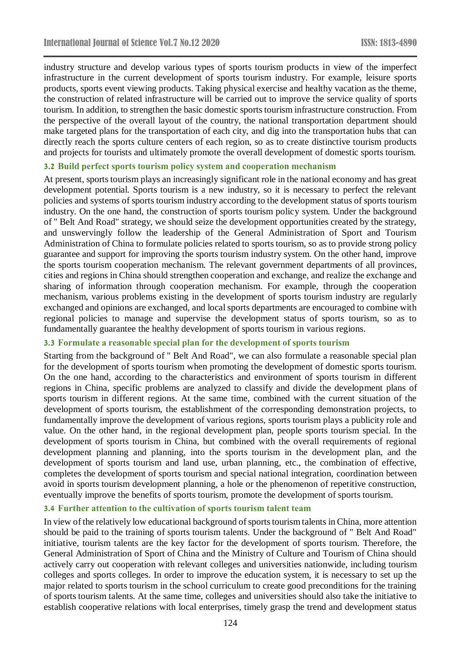industry structure and develop various types of sports tourism products in view of the imperfect infrastructure in the current development of sports tourism industry. For example, leisure sports products, sports event viewing products. Taking physical exercise and healthy vacation as the theme, the construction of related infrastructure will be carried out to improve the service quality of sports tourism. In addition, to strengthen the basic domestic sports tourism infrastructure construction. From the perspective of the overall layout of the country, the national transportation department should make targeted plans for the transportation of each city, and dig into the transportation hubs that can directly reach the sports culture centers of each region, so as to create distinctive tourism products and projects for tourists and ultimately promote the overall development of domestic sports tourism.

## **3.2 Build perfect sports tourism policy system and cooperation mechanism**

At present, sports tourism plays an increasingly significant role in the national economy and has great development potential. Sports tourism is a new industry, so it is necessary to perfect the relevant policies and systems of sports tourism industry according to the development status of sports tourism industry. On the one hand, the construction of sports tourism policy system. Under the background of " Belt And Road" strategy, we should seize the development opportunities created by the strategy, and unswervingly follow the leadership of the General Administration of Sport and Tourism Administration of China to formulate policies related to sports tourism, so as to provide strong policy guarantee and support for improving the sports tourism industry system. On the other hand, improve the sports tourism cooperation mechanism. The relevant government departments of all provinces, cities and regions in China should strengthen cooperation and exchange, and realize the exchange and sharing of information through cooperation mechanism. For example, through the cooperation mechanism, various problems existing in the development of sports tourism industry are regularly exchanged and opinions are exchanged, and local sports departments are encouraged to combine with regional policies to manage and supervise the development status of sports tourism, so as to fundamentally guarantee the healthy development of sports tourism in various regions.

## **3.3 Formulate a reasonable special plan for the development of sports tourism**

Starting from the background of " Belt And Road", we can also formulate a reasonable special plan for the development of sports tourism when promoting the development of domestic sports tourism. On the one hand, according to the characteristics and environment of sports tourism in different regions in China, specific problems are analyzed to classify and divide the development plans of sports tourism in different regions. At the same time, combined with the current situation of the development of sports tourism, the establishment of the corresponding demonstration projects, to fundamentally improve the development of various regions, sports tourism plays a publicity role and value. On the other hand, in the regional development plan, people sports tourism special. In the development of sports tourism in China, but combined with the overall requirements of regional development planning and planning, into the sports tourism in the development plan, and the development of sports tourism and land use, urban planning, etc., the combination of effective, completes the development of sports tourism and special national integration, coordination between avoid in sports tourism development planning, a hole or the phenomenon of repetitive construction, eventually improve the benefits of sports tourism, promote the development of sports tourism.

#### **3.4 Further attention to the cultivation of sports tourism talent team**

In view of the relatively low educational background of sports tourism talents in China, more attention should be paid to the training of sports tourism talents. Under the background of " Belt And Road" initiative, tourism talents are the key factor for the development of sports tourism. Therefore, the General Administration of Sport of China and the Ministry of Culture and Tourism of China should actively carry out cooperation with relevant colleges and universities nationwide, including tourism colleges and sports colleges. In order to improve the education system, it is necessary to set up the major related to sports tourism in the school curriculum to create good preconditions for the training of sports tourism talents. At the same time, colleges and universities should also take the initiative to establish cooperative relations with local enterprises, timely grasp the trend and development status